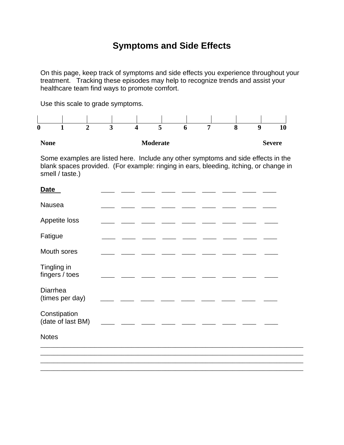## **Symptoms and Side Effects**

On this page, keep track of symptoms and side effects you experience throughout your treatment. Tracking these episodes may help to recognize trends and assist your healthcare team find ways to promote comfort.

Use this scale to grade symptoms.



Some examples are listed here. Include any other symptoms and side effects in the blank spaces provided. (For example: ringing in ears, bleeding, itching, or change in smell / taste.)

| Date                              |  |
|-----------------------------------|--|
| Nausea                            |  |
| Appetite loss                     |  |
| Fatigue                           |  |
| Mouth sores                       |  |
| Tingling in<br>fingers / toes     |  |
| Diarrhea<br>(times per day)       |  |
| Constipation<br>(date of last BM) |  |
| <b>Notes</b>                      |  |
|                                   |  |

\_\_\_\_\_\_\_\_\_\_\_\_\_\_\_\_\_\_\_\_\_\_\_\_\_\_\_\_\_\_\_\_\_\_\_\_\_\_\_\_\_\_\_\_\_\_\_\_\_\_\_\_\_\_\_\_\_\_\_\_\_\_\_\_\_\_\_\_\_\_\_\_\_\_\_\_\_\_ \_\_\_\_\_\_\_\_\_\_\_\_\_\_\_\_\_\_\_\_\_\_\_\_\_\_\_\_\_\_\_\_\_\_\_\_\_\_\_\_\_\_\_\_\_\_\_\_\_\_\_\_\_\_\_\_\_\_\_\_\_\_\_\_\_\_\_\_\_\_\_\_\_\_\_\_\_\_